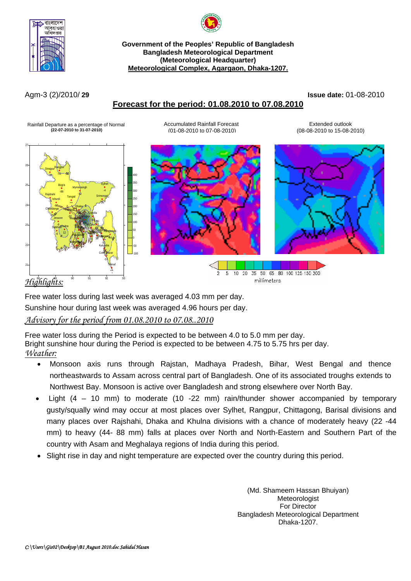



**Government of the Peoples' Republic of Bangladesh Bangladesh Meteorological Department (Meteorological Headquarter) Meteorological Complex, Agargaon, Dhaka-1207.**

# **Forecast for the period: 01.08.2010 to 07.08.2010**

Agm-3 (2)/2010/ **29 Issue date:** 01-08-2010

Rainfall Departure as a percentage of Normal **Accumulated Rainfall Forecast** Forecast Extended outlook

 **(22-07-2010 to 31-07-2010)** (01-08-2010 to 07-08-2010) (08-08-2010 to 15-08-2010)



Free water loss during last week was averaged 4.03 mm per day.

Sunshine hour during last week was averaged 4.96 hours per day.

## *Advisory for the period from 01.08.2010 to 07.08..2010*

Free water loss during the Period is expected to be between 4.0 to 5.0 mm per day. Bright sunshine hour during the Period is expected to be between 4.75 to 5.75 hrs per day. *Weather:*

- Monsoon axis runs through Rajstan, Madhaya Pradesh, Bihar, West Bengal and thence northeastwards to Assam across central part of Bangladesh. One of its associated troughs extends to Northwest Bay. Monsoon is active over Bangladesh and strong elsewhere over North Bay.
- Light (4 10 mm) to moderate (10 -22 mm) rain/thunder shower accompanied by temporary gusty/squally wind may occur at most places over Sylhet, Rangpur, Chittagong, Barisal divisions and many places over Rajshahi, Dhaka and Khulna divisions with a chance of moderately heavy (22 -44 mm) to heavy (44- 88 mm) falls at places over North and North-Eastern and Southern Part of the country with Asam and Meghalaya regions of India during this period.
- Slight rise in day and night temperature are expected over the country during this period.

(Md. Shameem Hassan Bhuiyan) Meteorologist For Director Bangladesh Meteorological Department Dhaka-1207.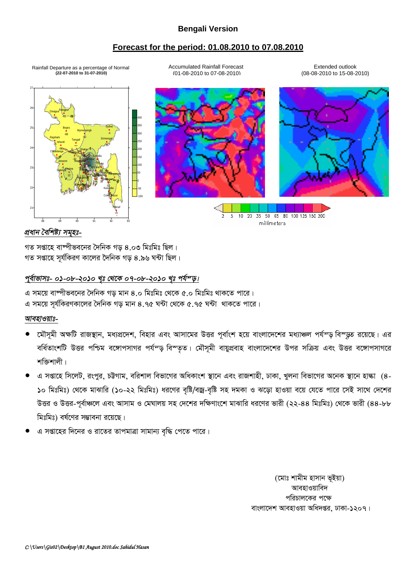## **Bengali Version**

### **Forecast for the period: 01.08.2010 to 07.08.2010**

Rainfall Departure as a percentage of Normal  **(22-07-2010 to 31-07-2010)**

Accumulated Rainfall Forecast (01-08-2010 to 07-08-2010)

Extended outlook (08-08-2010 to 15-08-2010)



#### *প্ৰধান বৈশিষ্ট্য সমৃহঃ-*

গত সপ্তাহে বাম্পীভবনের দৈনিক গড় ৪.০৩ মিঃমিঃ ছিল। গত সপ্তাহে সূর্যকিরণ কালের দৈনিক গড় ৪.৯৬ ঘন্টা ছিল।

#### পূৰ্বাভাসঃ- ০১-০৮-২০১০ খৃঃ থেকে ০৭-০৮-২০১০ খৃঃ পৰ্য<sup>ন</sup>ড়।

এ সময়ে বাম্পীভবনের দৈনিক গড় মান ৪.০ মিঃমিঃ থেকে ৫.০ মিঃমিঃ থাকতে পারে। এ সময়ে সূর্যকিরণকালের দৈনিক গড় মান ৪.৭৫ ঘন্টা থেকে ৫.৭৫ ঘন্টা থাকতে পারে।

#### *আবহাওয়াঃ-*

- মৌসমী অক্ষটি রাজস্থান, মধ্যপ্রদেশ, বিহার এবং আসামের উত্তর পূর্বাংশ হয়ে বাংলাদেশের মধ্যাঞ্চল পর্যন্ড় বিস্ডুত রয়েছে। এর বর্ধিতাংশটি উত্তর পশ্চিম বঙ্গোপসাগর পর্যন্ড় বিস্তৃত। মৌসূমী বায়ুপ্রবাহ বাংলাদেশের উপর সক্রিয় এবং উত্তর বঙ্গোপসাগরে শক্তিশালী।
- এ সপ্তাহে সিলেট, রংপুর, চট্টগাম, বরিশাল বিভাগের অধিকাংশ স্থানে এবং রাজশাহী, ঢাকা, খুলনা বিভাগের অনেক স্থানে হাল্কা (৪-১০ মিঃমিঃ) থেকে মাঝারি (১০-২২ মিঃমিঃ) ধরণের বষ্টি/বজ্র-বষ্টি সহ দমকা ও ঝড়ো হাওয়া বয়ে যেতে পারে সেই সাথে দেশের উত্তর ও উত্তর-পূর্বাঞ্চলে এবং আসাম ও মেঘালয় সহ দেশের দক্ষিণাংশে মাঝারি ধরণের ভারী (২২-৪৪ মিঃমিঃ) থেকে ভারী (৪৪-৮৮ মিঃমিঃ) বর্ষণের সম্ভাবনা রয়েছে।
- এ সপ্তাহের দিনের ও রাতের তাপমাত্রা সামান্য বৃদ্ধি পেতে পারে।

(মোঃ শামীম হাসান ভূইয়া) আবহাওয়াবিদ পরিচালকের পক্ষে বাংলাদেশ আবহাওয়া অধিদপ্তর, ঢাকা-১২০৭।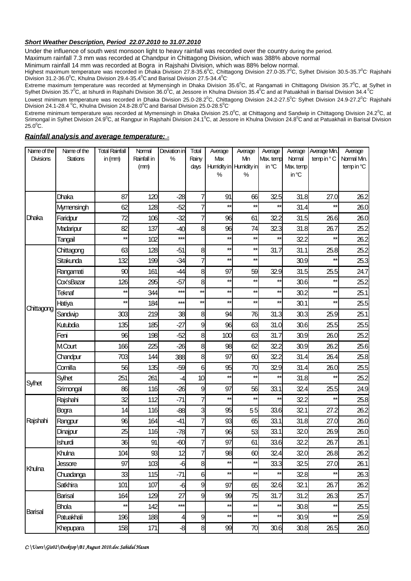#### *Short Weather Description, Period 22.07.2010 to 31.07.2010*

Under the influence of south west monsoon light to heavy rainfall was recorded over the country during the period.

Maximum rainfall 7.3 mm was recorded at Chandpur in Chittagong Division, which was 388% above normal

Minimum rainfall 14 mm was recorded at Bogra in Rajshahi Division, which was 88% below normal.

Highest maximum temperature was recorded in Dhaka Division 27.8-35.6°C, Chittagong Division 27.0-35.7°C, Sylhet Division 30.5-35.7°C Rajshahi Division 31.2-36.0°C, Khulna Division 29.4-35.4°C and Barisal Division 27.5-34.4°C

Extreme maximum temperature was recorded at Mymensingh in Dhaka Division  $35.6^{\circ}$ C, at Rangamati in Chittagong Division  $35.7^{\circ}$ C, at Sylhet in Sylhet Division 35.7<sup>o</sup>C, at Ishurdi in Rajshahi Division 36.0<sup>o</sup>C, at Jessore in Khulna Division 35.4<sup>o</sup>C and at Patuakhali in Barisal Division 34.4<sup>o</sup>C

Lowest minimum temperature was recorded in Dhaka Division 25.0-28.2<sup>o</sup>C, Chittagong Division 24.2-27.5<sup>o</sup>C<sup>,</sup> Sylhet Division 24.9-27.2<sup>o</sup>C<sup>,</sup> Rajshahi Division 24.1-28.4  $\rm{^0C}$ , Khulna Division 24.8-28.0 $\rm{^0C}$  and Barisal Division 25.0-28.5 $\rm{^0C}$ 

Extreme minimum temperature was recorded at Mymensingh in Dhaka Division 25.0°C, at Chittagong and Sandwip in Chittagong Division 24.2°C, at Srimongal in Sylhet Division 24.9<sup>o</sup>C, at Rangpur in Rajshahi Division 24.1<sup>o</sup>C, at Jessore in Khulna Division 24.8<sup>o</sup>C and at Patuakhali in Barisal Division  $25.0^{\circ}$ C.

#### *Rainfall analysis and average temperature: -*

| Name of the      | Name of the     | <b>Total Rainfall</b> | Normal      | Deviation in   | Total          | Average      | Average                       | Average            | Average            | Average Mn.     | Average                   |
|------------------|-----------------|-----------------------|-------------|----------------|----------------|--------------|-------------------------------|--------------------|--------------------|-----------------|---------------------------|
| <b>Divisions</b> | <b>Stations</b> | in $(mm)$             | Rainfall in | %              | Rainy          | Max          | Mn<br>Humidity in Humidity in | Max. temp<br>in °C | Normal<br>Max.temp | temp in °C      | Normal Min.<br>temp in °C |
|                  |                 |                       | (mm)        |                | days           | %            | %                             |                    | in °C              |                 |                           |
|                  |                 |                       |             |                |                |              |                               |                    |                    |                 |                           |
| Dhaka            | Dhaka           | 87                    | 120         | $-28$          | 7              | 91           | 66                            | 32.5               | 31.8               | 27.0            | 26.2                      |
|                  | Mymensingh      | 62                    | 128         | $-52$          | 7              | $\star\star$ | $\star\star$                  | $\star\star$       | 31.4               | $^{\star\star}$ | 26.0                      |
|                  | Faridpur        | 72                    | 106         | $-32$          | 7              | 96           | 61                            | 32.2               | 31.5               | 26.6            | 26.0                      |
|                  | Madaripur       | 82                    | 137         | $-40$          | 8              | 96           | 74                            | 32.3               | 31.8               | 26.7            | 25.2                      |
|                  | Tangail         | $\star\star$          | 102         | $***$          |                | $\star\star$ | $\star\star$                  | $\star\star$       | 32.2               | $\star\star$    | 26.2                      |
| Chittagong       | Chittagong      | 63                    | 128         | $-51$          | 8              | $\star\star$ | $\star\star$                  | 31.7               | 31.1               | 25.8            | 25.2                      |
|                  | Sitakunda       | 132                   | 199         | $-34$          | 7              | $\star\star$ | $\star\star$                  |                    | 30.9               | $\star\star$    | 25.3                      |
|                  | Rangamati       | 90                    | 161         | $-44$          | 8              | 97           | 59                            | 32.9               | 31.5               | 25.5            | 24.7                      |
|                  | Cox'sBazar      | 126                   | 295         | $-57$          | 8              | $\star\star$ | $\star\star$                  | $\star\star$       | 30.6               | $\star\star$    | 25.2                      |
|                  | Teknaf          | $\star\star$          | 344         | $***$          | $\star\star$   | $\star\star$ | $\star\star$                  | $\star\star$       | 30.2               | $\star\star$    | 25.1                      |
|                  | Hatiya          | $\star\star$          | 184         | $***$          | $\star\star$   | $\star\star$ | $\star\star$                  | $^{\star\star}$    | 30.1               | $\star\star$    | 25.5                      |
|                  | Sandwip         | 303                   | 219         | 38             | 8              | 94           | 76                            | 31.3               | 30.3               | 25.9            | 25.1                      |
|                  | Kutubdia        | 135                   | 185         | $-27$          | 9              | 96           | 63                            | 31.0               | 30.6               | 25.5            | 25.5                      |
|                  | Feni            | 96                    | 198         | $-52$          | 8              | 100          | 63                            | 31.7               | 30.9               | 26.0            | 25.2                      |
|                  | <b>MCourt</b>   | 166                   | 225         | $-26$          | 8              | 98           | 62                            | 32.2               | 30.9               | 26.2            | 25.6                      |
|                  | Chandpur        | 703                   | 144         | 388            | 8              | 97           | 60                            | 32.2               | 31.4               | 26.4            | 25.8                      |
|                  | Comilla         | 56                    | 135         | $-59$          | 6              | 95           | 70                            | 32.9               | 31.4               | 26.0            | 25.5                      |
| Sylhet           | Sylhet          | 251                   | 261         | -4             | 10             | $\star\star$ | $\star\star$                  | $\star\star$       | 31.8               | $^{\star\star}$ | 25.2                      |
|                  | Srimongal       | 86                    | 116         | $-26$          | 9              | 97           | 56                            | 33.1               | 32.4               | 25.5            | 24.9                      |
| Rajshahi         | Rajshahi        | 32                    | 112         | $-71$          | $\overline{7}$ | $\star\star$ | $\star\star$                  | $\star\star$       | 32.2               | $\star\star$    | 25.8                      |
|                  | Bogra           | 14                    | 116         | $-88$          | 3              | 95           | 55                            | 33.6               | 32.1               | 27.2            | 26.2                      |
|                  | Rangpur         | 96                    | 164         | $-41$          | $\overline{7}$ | 93           | 65                            | 33.1               | 31.8               | 27.0            | 26.0                      |
|                  | Dinajpur        | 25                    | 116         | $-78$          | $\overline{7}$ | 96           | 53                            | 33.1               | 32.0               | 26.9            | 26.0                      |
|                  | Ishurdi         | 36                    | 91          | $-60$          | 7              | 97           | 61                            | 33.6               | 32.2               | 26.7            | 26.1                      |
| Khulna           | Khulna          | 104                   | 93          | 12             | 7              | 98           | 60                            | 32.4               | 32.0               | 26.8            | 26.2                      |
|                  | Jessore         | 97                    | 103         | $-6$           | 8              | $\star\star$ | $\star\star$                  | 33.3               | 32.5               | 27.0            | 26.1                      |
|                  | Chuadanga       | 33                    | 115         | $-71$          | 6              | $\star\star$ | $\star\star$                  | $\star\star$       | 32.8               | $\star\star$    | 26.3                      |
|                  | Satkhira        | 101                   | 107         | $-6$           | 9              | 97           | 65                            | 32.6               | 32.1               | 26.7            | 26.2                      |
| Barisal          | Barisal         | 164                   | 129         | 27             | 9              | 99           | 75                            | 31.7               | 31.2               | 26.3            | 25.7                      |
|                  | <b>Bhola</b>    | $\star\star$          | 142         | $***$          |                | $\star\star$ | $\star\star$                  | $^{\star\star}$    | 30.8               | $\star\star$    | 25.5                      |
|                  | Patuakhali      | 196                   | 188         | $\overline{4}$ | 9              | $\star\star$ | $\star\star$                  | $\star\star$       | 30.9               | **              | 25.9                      |
|                  | Khepupara       | 158                   | 171         | $-8$           | 8              | 99           | 70                            | 30.6               | 30.8               | 26.5            | 26.0                      |

*C:\Users\Gis02\Desktop\B1 August 2010.doc Sahidul Hasan*